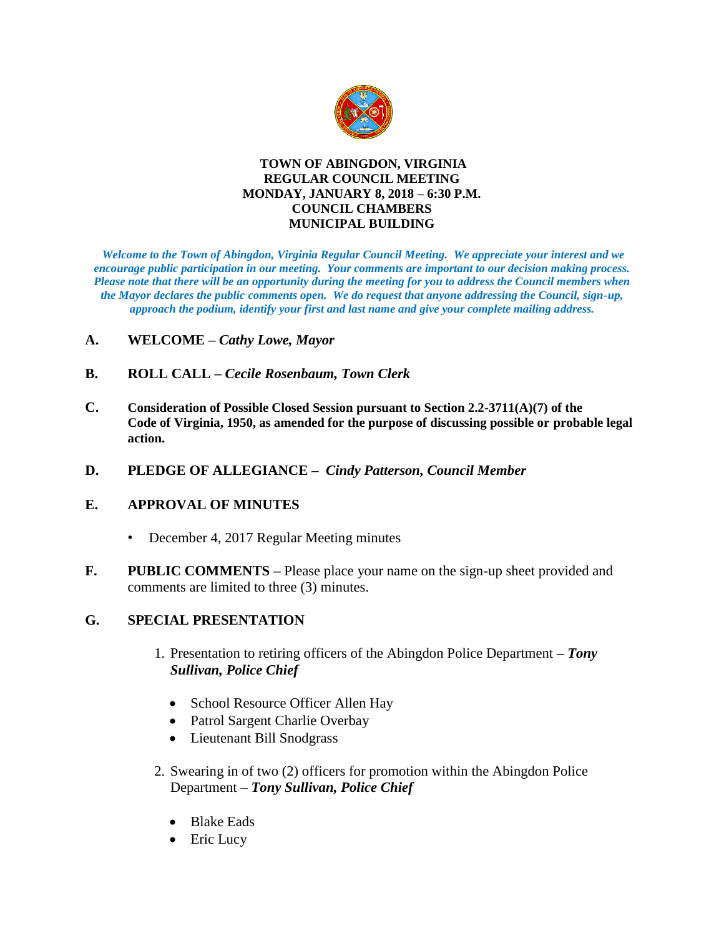

#### **TOWN OF ABINGDON, VIRGINIA REGULAR COUNCIL MEETING MONDAY, JANUARY 8, 2018 – 6:30 P.M. COUNCIL CHAMBERS MUNICIPAL BUILDING**

*Welcome to the Town of Abingdon, Virginia Regular Council Meeting. We appreciate your interest and we encourage public participation in our meeting. Your comments are important to our decision making process. Please note that there will be an opportunity during the meeting for you to address the Council members when the Mayor declares the public comments open. We do request that anyone addressing the Council, sign-up, approach the podium, identify your first and last name and give your complete mailing address.* 

- **A. WELCOME –** *Cathy Lowe, Mayor*
- **B. ROLL CALL –** *Cecile Rosenbaum, Town Clerk*
- **C. Consideration of Possible Closed Session pursuant to Section 2.2-3711(A)(7) of the Code of Virginia, 1950, as amended for the purpose of discussing possible or probable legal action.**
- **D. PLEDGE OF ALLEGIANCE** *Cindy Patterson, Council Member*

#### **E. APPROVAL OF MINUTES**

- December 4, 2017 Regular Meeting minutes
- **F. PUBLIC COMMENTS –** Please place your name on the sign-up sheet provided and comments are limited to three (3) minutes.

#### **G. SPECIAL PRESENTATION**

- 1. Presentation to retiring officers of the Abingdon Police Department **–** *Tony Sullivan, Police Chief*
	- School Resource Officer Allen Hay
	- Patrol Sargent Charlie Overbay
	- Lieutenant Bill Snodgrass
- 2. Swearing in of two (2) officers for promotion within the Abingdon Police Department – *Tony Sullivan, Police Chief*
	- Blake Eads
	- Eric Lucy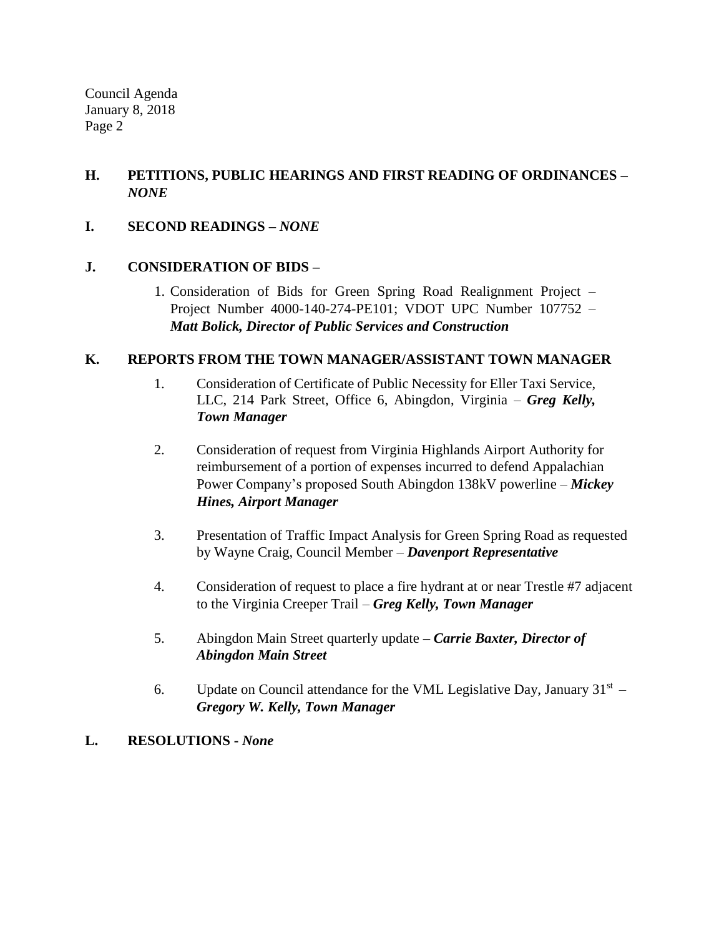Council Agenda January 8, 2018 Page 2

# **H. PETITIONS, PUBLIC HEARINGS AND FIRST READING OF ORDINANCES –** *NONE*

# **I. SECOND READINGS –** *NONE*

# **J. CONSIDERATION OF BIDS –**

1. Consideration of Bids for Green Spring Road Realignment Project – Project Number 4000-140-274-PE101; VDOT UPC Number 107752 – *Matt Bolick, Director of Public Services and Construction*

# **K. REPORTS FROM THE TOWN MANAGER/ASSISTANT TOWN MANAGER**

- 1. Consideration of Certificate of Public Necessity for Eller Taxi Service, LLC, 214 Park Street, Office 6, Abingdon, Virginia – *Greg Kelly, Town Manager*
- 2. Consideration of request from Virginia Highlands Airport Authority for reimbursement of a portion of expenses incurred to defend Appalachian Power Company's proposed South Abingdon 138kV powerline – *Mickey Hines, Airport Manager*
- 3. Presentation of Traffic Impact Analysis for Green Spring Road as requested by Wayne Craig, Council Member – *Davenport Representative*
- 4. Consideration of request to place a fire hydrant at or near Trestle #7 adjacent to the Virginia Creeper Trail – *Greg Kelly, Town Manager*
- 5. Abingdon Main Street quarterly update *– Carrie Baxter, Director of Abingdon Main Street*
- 6. Update on Council attendance for the VML Legislative Day, January  $31<sup>st</sup>$  *Gregory W. Kelly, Town Manager*

# **L. RESOLUTIONS -** *None*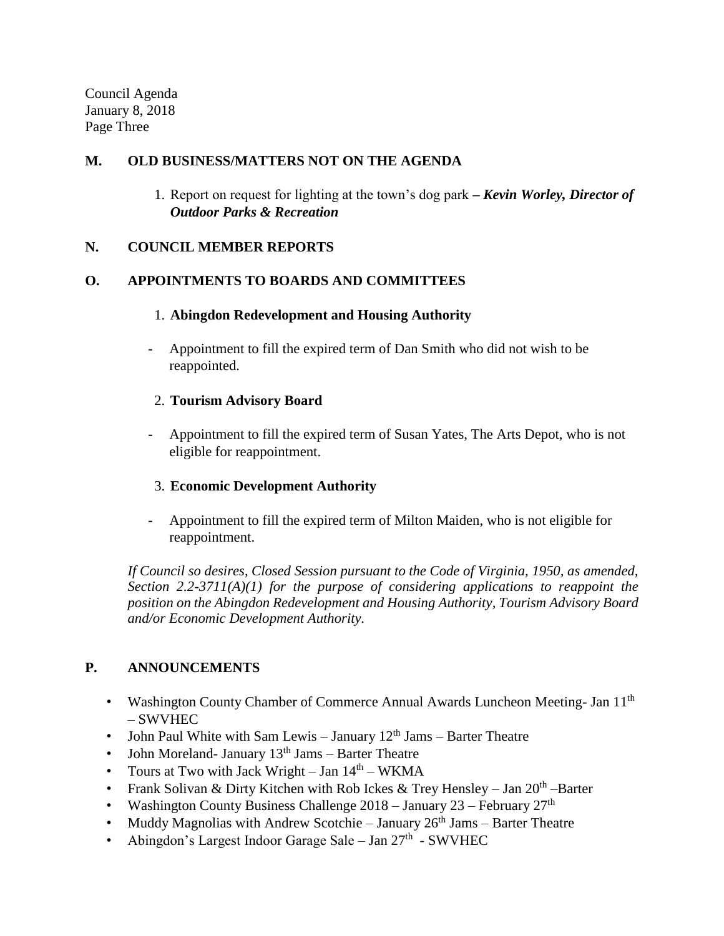Council Agenda January 8, 2018 Page Three

## **M. OLD BUSINESS/MATTERS NOT ON THE AGENDA**

1. Report on request for lighting at the town's dog park **–** *Kevin Worley, Director of Outdoor Parks & Recreation* 

## **N. COUNCIL MEMBER REPORTS**

## **O. APPOINTMENTS TO BOARDS AND COMMITTEES**

## 1. **Abingdon Redevelopment and Housing Authority**

**-** Appointment to fill the expired term of Dan Smith who did not wish to be reappointed.

## 2. **Tourism Advisory Board**

**-** Appointment to fill the expired term of Susan Yates, The Arts Depot, who is not eligible for reappointment.

# 3. **Economic Development Authority**

**-** Appointment to fill the expired term of Milton Maiden, who is not eligible for reappointment.

*If Council so desires, Closed Session pursuant to the Code of Virginia, 1950, as amended, Section 2.2-3711(A)(1) for the purpose of considering applications to reappoint the position on the Abingdon Redevelopment and Housing Authority, Tourism Advisory Board and/or Economic Development Authority.*

# **P. ANNOUNCEMENTS**

- Washington County Chamber of Commerce Annual Awards Luncheon Meeting- Jan 11<sup>th</sup> – SWVHEC
- John Paul White with Sam Lewis January  $12<sup>th</sup>$  Jams Barter Theatre
- John Moreland- January  $13<sup>th</sup>$  Jams Barter Theatre
- Tours at Two with Jack Wright  $-$  Jan  $14<sup>th</sup>$  WKMA
- Frank Solivan & Dirty Kitchen with Rob Ickes & Trey Hensley Jan  $20<sup>th</sup>$  -Barter
- Washington County Business Challenge  $2018 -$  January  $23 -$  February  $27<sup>th</sup>$
- Muddy Magnolias with Andrew Scotchie January  $26<sup>th</sup>$  Jams Barter Theatre
- Abingdon's Largest Indoor Garage Sale Jan  $27<sup>th</sup>$  SWVHEC